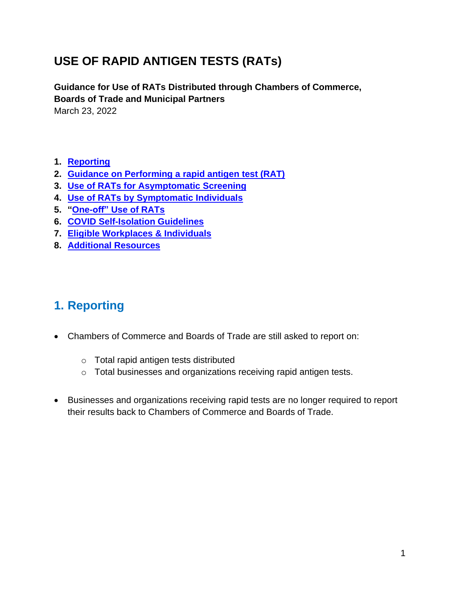# **USE OF RAPID ANTIGEN TESTS (RATs)**

**Guidance for Use of RATs Distributed through Chambers of Commerce, Boards of Trade and Municipal Partners**  March 23, 2022

- **1. [Reporting](#page-0-0)**
- **2. [Guidance on Performing a rapid antigen test \(RAT\)](#page-1-0)**
- **3. [Use of RATs for Asymptomatic Screening](#page-2-0)**
- **4. [Use of RATs by Symptomatic Individuals](#page-3-0)**
- **5. "One-off" [Use of RATs](#page-3-1)**
- **6. [COVID Self-Isolation Guidelines](#page-4-0)**
- **7. [Eligible Workplaces & Individuals](#page-5-0)**
- **8. [Additional Resources](#page-6-0)**

### <span id="page-0-0"></span>**1. Reporting**

- Chambers of Commerce and Boards of Trade are still asked to report on:
	- o Total rapid antigen tests distributed
	- o Total businesses and organizations receiving rapid antigen tests.
- Businesses and organizations receiving rapid tests are no longer required to report their results back to Chambers of Commerce and Boards of Trade.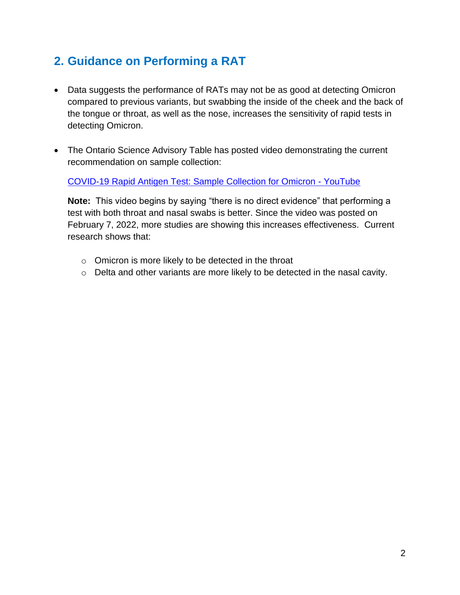## <span id="page-1-0"></span>**2. Guidance on Performing a RAT**

- Data suggests the performance of RATs may not be as good at detecting Omicron compared to previous variants, but swabbing the inside of the cheek and the back of the tongue or throat, as well as the nose, increases the sensitivity of rapid tests in detecting Omicron.
- The Ontario Science Advisory Table has posted video demonstrating the current recommendation on sample collection:

[COVID-19 Rapid Antigen Test: Sample Collection for Omicron -](https://www.youtube.com/watch?v=LJhdIWWdXT4) YouTube

**Note:** This video begins by saying "there is no direct evidence" that performing a test with both throat and nasal swabs is better. Since the video was posted on February 7, 2022, more studies are showing this increases effectiveness.Current research shows that:

- o Omicron is more likely to be detected in the throat
- o Delta and other variants are more likely to be detected in the nasal cavity.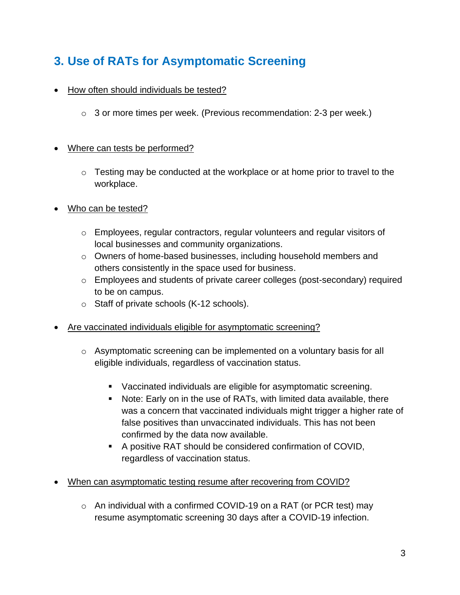## <span id="page-2-0"></span>**3. Use of RATs for Asymptomatic Screening**

- How often should individuals be tested?
	- $\circ$  3 or more times per week. (Previous recommendation: 2-3 per week.)

#### • Where can tests be performed?

- $\circ$  Testing may be conducted at the workplace or at home prior to travel to the workplace.
- Who can be tested?
	- $\circ$  Employees, regular contractors, regular volunteers and regular visitors of local businesses and community organizations.
	- o Owners of home-based businesses, including household members and others consistently in the space used for business.
	- o Employees and students of private career colleges (post-secondary) required to be on campus.
	- o Staff of private schools (K-12 schools).
- Are vaccinated individuals eligible for asymptomatic screening?
	- $\circ$  Asymptomatic screening can be implemented on a voluntary basis for all eligible individuals, regardless of vaccination status.
		- Vaccinated individuals are eligible for asymptomatic screening.
		- Note: Early on in the use of RATs, with limited data available, there was a concern that vaccinated individuals might trigger a higher rate of false positives than unvaccinated individuals. This has not been confirmed by the data now available.
		- A positive RAT should be considered confirmation of COVID, regardless of vaccination status.
- When can asymptomatic testing resume after recovering from COVID?
	- $\circ$  An individual with a confirmed COVID-19 on a RAT (or PCR test) may resume asymptomatic screening 30 days after a COVID-19 infection.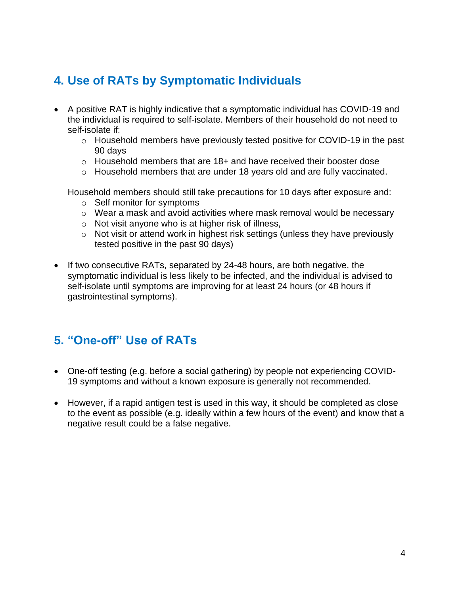## <span id="page-3-0"></span>**4. Use of RATs by Symptomatic Individuals**

- A positive RAT is highly indicative that a symptomatic individual has COVID-19 and the individual is required to self-isolate. Members of their household do not need to self-isolate if:
	- o Household members have previously tested positive for COVID-19 in the past 90 days
	- o Household members that are 18+ and have received their booster dose
	- $\circ$  Household members that are under 18 years old and are fully vaccinated.

Household members should still take precautions for 10 days after exposure and:

- o Self monitor for symptoms
- o Wear a mask and avoid activities where mask removal would be necessary
- o Not visit anyone who is at higher risk of illness,
- o Not visit or attend work in highest risk settings (unless they have previously tested positive in the past 90 days)
- If two consecutive RATs, separated by 24-48 hours, are both negative, the symptomatic individual is less likely to be infected, and the individual is advised to self-isolate until symptoms are improving for at least 24 hours (or 48 hours if gastrointestinal symptoms).

## <span id="page-3-1"></span>**5. "One-off" Use of RATs**

- One-off testing (e.g. before a social gathering) by people not experiencing COVID-19 symptoms and without a known exposure is generally not recommended.
- However, if a rapid antigen test is used in this way, it should be completed as close to the event as possible (e.g. ideally within a few hours of the event) and know that a negative result could be a false negative.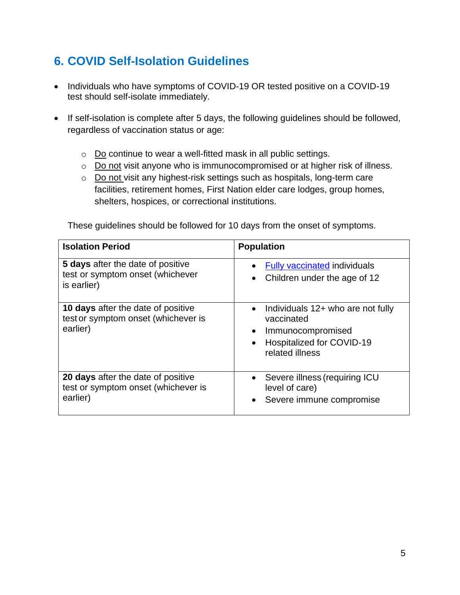# <span id="page-4-0"></span>**6. COVID Self-Isolation Guidelines**

- Individuals who have symptoms of COVID-19 OR tested positive on a COVID-19 test should self-isolate immediately.
- If self-isolation is complete after 5 days, the following guidelines should be followed, regardless of vaccination status or age:
	- o Do continue to wear a well-fitted mask in all public settings.
	- o Do not visit anyone who is immunocompromised or at higher risk of illness.
	- o Do not visit any highest-risk settings such as hospitals, long-term care facilities, retirement homes, First Nation elder care lodges, group homes, shelters, hospices, or correctional institutions.

These guidelines should be followed for 10 days from the onset of symptoms.

| <b>Isolation Period</b>                                                                      | <b>Population</b>                                                                                                                                           |
|----------------------------------------------------------------------------------------------|-------------------------------------------------------------------------------------------------------------------------------------------------------------|
| <b>5 days</b> after the date of positive<br>test or symptom onset (whichever<br>is earlier)  | Fully vaccinated individuals<br>$\bullet$<br>Children under the age of 12<br>$\bullet$                                                                      |
| <b>10 days</b> after the date of positive<br>test or symptom onset (whichever is<br>earlier) | Individuals 12+ who are not fully<br>$\bullet$<br>vaccinated<br>Immunocompromised<br>$\bullet$<br>Hospitalized for COVID-19<br>$\bullet$<br>related illness |
| 20 days after the date of positive<br>test or symptom onset (whichever is<br>earlier)        | Severe illness (requiring ICU<br>$\bullet$<br>level of care)<br>Severe immune compromise<br>$\bullet$                                                       |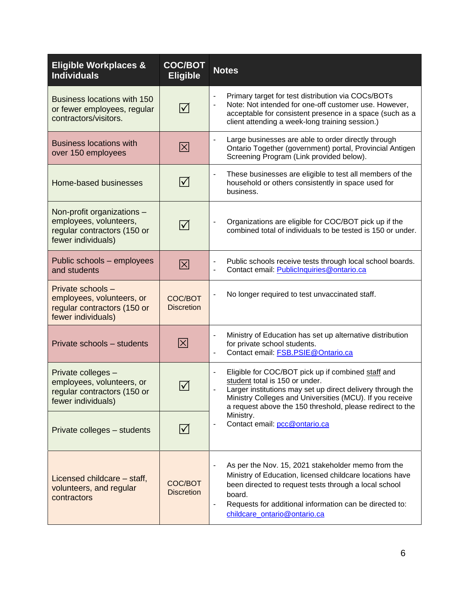<span id="page-5-0"></span>

| <b>Eligible Workplaces &amp;</b><br><b>Individuals</b>                                                    | <b>COC/BOT</b><br><b>Eligible</b> | <b>Notes</b>                                                                                                                                                                                                                                                                                                                        |
|-----------------------------------------------------------------------------------------------------------|-----------------------------------|-------------------------------------------------------------------------------------------------------------------------------------------------------------------------------------------------------------------------------------------------------------------------------------------------------------------------------------|
| Business locations with 150<br>or fewer employees, regular<br>contractors/visitors.                       | $\blacktriangledown$              | Primary target for test distribution via COCs/BOTs<br>Note: Not intended for one-off customer use. However,<br>acceptable for consistent presence in a space (such as a<br>client attending a week-long training session.)                                                                                                          |
| <b>Business locations with</b><br>over 150 employees                                                      | $\boxtimes$                       | Large businesses are able to order directly through<br>$\blacksquare$<br>Ontario Together (government) portal, Provincial Antigen<br>Screening Program (Link provided below).                                                                                                                                                       |
| Home-based businesses                                                                                     | $ \boldsymbol{\surd} $            | These businesses are eligible to test all members of the<br>$\blacksquare$<br>household or others consistently in space used for<br>business.                                                                                                                                                                                       |
| Non-profit organizations -<br>employees, volunteers,<br>regular contractors (150 or<br>fewer individuals) | $\blacktriangledown$              | Organizations are eligible for COC/BOT pick up if the<br>combined total of individuals to be tested is 150 or under.                                                                                                                                                                                                                |
| Public schools - employees<br>and students                                                                | $\boxtimes$                       | Public schools receive tests through local school boards.<br>Contact email: PublicInquiries@ontario.ca                                                                                                                                                                                                                              |
| Private schools -<br>employees, volunteers, or<br>regular contractors (150 or<br>fewer individuals)       | COC/BOT<br><b>Discretion</b>      | No longer required to test unvaccinated staff.                                                                                                                                                                                                                                                                                      |
| Private schools - students                                                                                | $\overline{\boxtimes}$            | Ministry of Education has set up alternative distribution<br>$\overline{\phantom{a}}$<br>for private school students.<br>Contact email: FSB.PSIE@Ontario.ca                                                                                                                                                                         |
| Private colleges -<br>employees, volunteers, or<br>regular contractors (150 or<br>fewer individuals)      | $\blacktriangledown$              | Eligible for COC/BOT pick up if combined staff and<br>-<br>student total is 150 or under.<br>Larger institutions may set up direct delivery through the<br>Ministry Colleges and Universities (MCU). If you receive<br>a request above the 150 threshold, please redirect to the<br>Ministry.<br>Contact email: pcc@ontario.ca<br>۰ |
| Private colleges - students                                                                               | $ \mathcal{V} $                   |                                                                                                                                                                                                                                                                                                                                     |
| Licensed childcare - staff,<br>volunteers, and regular<br>contractors                                     | COC/BOT<br><b>Discretion</b>      | As per the Nov. 15, 2021 stakeholder memo from the<br>$\overline{\phantom{a}}$<br>Ministry of Education, licensed childcare locations have<br>been directed to request tests through a local school<br>board.<br>Requests for additional information can be directed to:<br>childcare_ontario@ontario.ca                            |